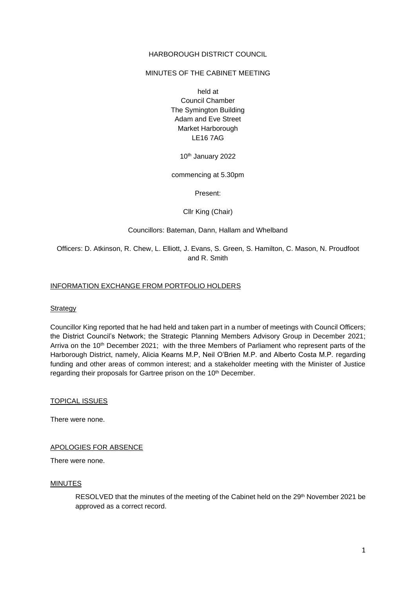### HARBOROUGH DISTRICT COUNCIL

### MINUTES OF THE CABINET MEETING

held at Council Chamber The Symington Building Adam and Eve Street Market Harborough LE16 7AG

10th January 2022

commencing at 5.30pm

Present:

Cllr King (Chair)

#### Councillors: Bateman, Dann, Hallam and Whelband

Officers: D. Atkinson, R. Chew, L. Elliott, J. Evans, S. Green, S. Hamilton, C. Mason, N. Proudfoot and R. Smith

#### INFORMATION EXCHANGE FROM PORTFOLIO HOLDERS

#### **Strategy**

Councillor King reported that he had held and taken part in a number of meetings with Council Officers; the District Council's Network; the Strategic Planning Members Advisory Group in December 2021; Arriva on the 10<sup>th</sup> December 2021; with the three Members of Parliament who represent parts of the Harborough District, namely, Alicia Kearns M.P, Neil O'Brien M.P. and Alberto Costa M.P. regarding funding and other areas of common interest; and a stakeholder meeting with the Minister of Justice regarding their proposals for Gartree prison on the 10<sup>th</sup> December.

TOPICAL ISSUES

There were none.

APOLOGIES FOR ABSENCE

There were none.

#### MINUTES

RESOLVED that the minutes of the meeting of the Cabinet held on the 29th November 2021 be approved as a correct record.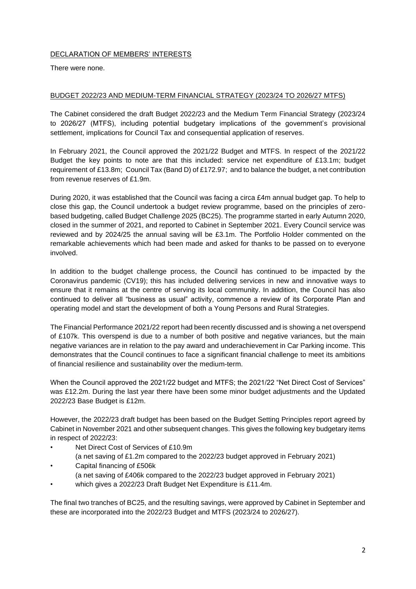# DECLARATION OF MEMBERS' INTERESTS

There were none.

# BUDGET 2022/23 AND MEDIUM-TERM FINANCIAL STRATEGY (2023/24 TO 2026/27 MTFS)

The Cabinet considered the draft Budget 2022/23 and the Medium Term Financial Strategy (2023/24 to 2026/27 (MTFS), including potential budgetary implications of the government's provisional settlement, implications for Council Tax and consequential application of reserves.

In February 2021, the Council approved the 2021/22 Budget and MTFS. In respect of the 2021/22 Budget the key points to note are that this included: service net expenditure of £13.1m; budget requirement of £13.8m; Council Tax (Band D) of £172.97; and to balance the budget, a net contribution from revenue reserves of £1.9m.

During 2020, it was established that the Council was facing a circa £4m annual budget gap. To help to close this gap, the Council undertook a budget review programme, based on the principles of zerobased budgeting, called Budget Challenge 2025 (BC25). The programme started in early Autumn 2020, closed in the summer of 2021, and reported to Cabinet in September 2021. Every Council service was reviewed and by 2024/25 the annual saving will be £3.1m. The Portfolio Holder commented on the remarkable achievements which had been made and asked for thanks to be passed on to everyone involved.

In addition to the budget challenge process, the Council has continued to be impacted by the Coronavirus pandemic (CV19); this has included delivering services in new and innovative ways to ensure that it remains at the centre of serving its local community. In addition, the Council has also continued to deliver all "business as usual" activity, commence a review of its Corporate Plan and operating model and start the development of both a Young Persons and Rural Strategies.

The Financial Performance 2021/22 report had been recently discussed and is showing a net overspend of £107k. This overspend is due to a number of both positive and negative variances, but the main negative variances are in relation to the pay award and underachievement in Car Parking income. This demonstrates that the Council continues to face a significant financial challenge to meet its ambitions of financial resilience and sustainability over the medium-term.

When the Council approved the 2021/22 budget and MTFS; the 2021/22 "Net Direct Cost of Services" was £12.2m. During the last year there have been some minor budget adjustments and the Updated 2022/23 Base Budget is £12m.

However, the 2022/23 draft budget has been based on the Budget Setting Principles report agreed by Cabinet in November 2021 and other subsequent changes. This gives the following key budgetary items in respect of 2022/23:

- Net Direct Cost of Services of £10.9m
- (a net saving of £1.2m compared to the 2022/23 budget approved in February 2021)
- Capital financing of £506k (a net saving of £406k compared to the 2022/23 budget approved in February 2021)
- which gives a 2022/23 Draft Budget Net Expenditure is £11.4m.

The final two tranches of BC25, and the resulting savings, were approved by Cabinet in September and these are incorporated into the 2022/23 Budget and MTFS (2023/24 to 2026/27).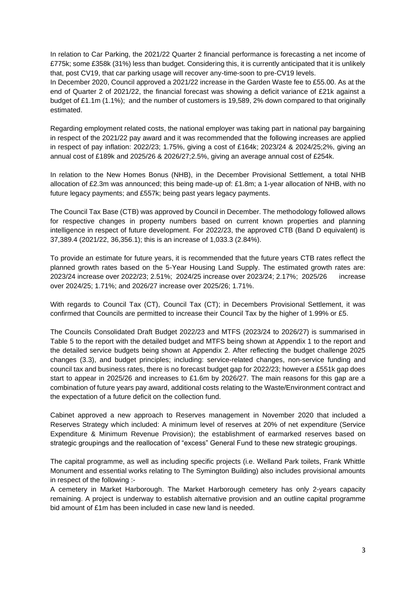In relation to Car Parking, the 2021/22 Quarter 2 financial performance is forecasting a net income of £775k; some £358k (31%) less than budget. Considering this, it is currently anticipated that it is unlikely that, post CV19, that car parking usage will recover any-time-soon to pre-CV19 levels.

In December 2020, Council approved a 2021/22 increase in the Garden Waste fee to £55.00. As at the end of Quarter 2 of 2021/22, the financial forecast was showing a deficit variance of £21k against a budget of £1.1m (1.1%); and the number of customers is 19,589, 2% down compared to that originally estimated.

Regarding employment related costs, the national employer was taking part in national pay bargaining in respect of the 2021/22 pay award and it was recommended that the following increases are applied in respect of pay inflation: 2022/23; 1.75%, giving a cost of £164k; 2023/24 & 2024/25;2%, giving an annual cost of £189k and 2025/26 & 2026/27;2.5%, giving an average annual cost of £254k.

In relation to the New Homes Bonus (NHB), in the December Provisional Settlement, a total NHB allocation of £2.3m was announced; this being made-up of: £1.8m; a 1-year allocation of NHB, with no future legacy payments; and £557k; being past years legacy payments.

The Council Tax Base (CTB) was approved by Council in December. The methodology followed allows for respective changes in property numbers based on current known properties and planning intelligence in respect of future development. For 2022/23, the approved CTB (Band D equivalent) is 37,389.4 (2021/22, 36,356.1); this is an increase of 1,033.3 (2.84%).

To provide an estimate for future years, it is recommended that the future years CTB rates reflect the planned growth rates based on the 5-Year Housing Land Supply. The estimated growth rates are: 2023/24 increase over 2022/23; 2.51%; 2024/25 increase over 2023/24; 2.17%; 2025/26 increase over 2024/25; 1.71%; and 2026/27 increase over 2025/26; 1.71%.

With regards to Council Tax (CT), Council Tax (CT); in Decembers Provisional Settlement, it was confirmed that Councils are permitted to increase their Council Tax by the higher of 1.99% or £5.

The Councils Consolidated Draft Budget 2022/23 and MTFS (2023/24 to 2026/27) is summarised in Table 5 to the report with the detailed budget and MTFS being shown at Appendix 1 to the report and the detailed service budgets being shown at Appendix 2. After reflecting the budget challenge 2025 changes (3.3), and budget principles; including: service-related changes, non-service funding and council tax and business rates, there is no forecast budget gap for 2022/23; however a £551k gap does start to appear in 2025/26 and increases to £1.6m by 2026/27. The main reasons for this gap are a combination of future years pay award, additional costs relating to the Waste/Environment contract and the expectation of a future deficit on the collection fund.

Cabinet approved a new approach to Reserves management in November 2020 that included a Reserves Strategy which included: A minimum level of reserves at 20% of net expenditure (Service Expenditure & Minimum Revenue Provision); the establishment of earmarked reserves based on strategic groupings and the reallocation of "excess" General Fund to these new strategic groupings.

The capital programme, as well as including specific projects (i.e. Welland Park toilets, Frank Whittle Monument and essential works relating to The Symington Building) also includes provisional amounts in respect of the following :-

A cemetery in Market Harborough. The Market Harborough cemetery has only 2-years capacity remaining. A project is underway to establish alternative provision and an outline capital programme bid amount of £1m has been included in case new land is needed.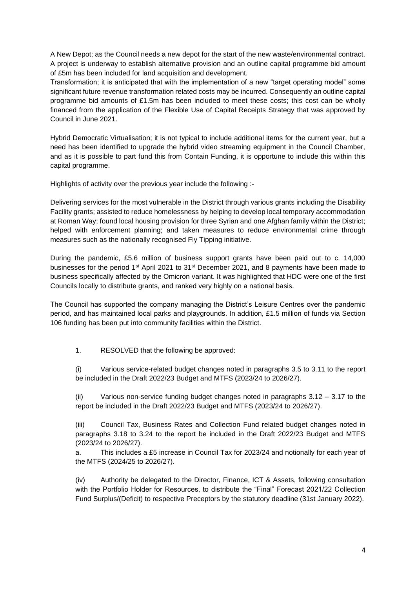A New Depot; as the Council needs a new depot for the start of the new waste/environmental contract. A project is underway to establish alternative provision and an outline capital programme bid amount of £5m has been included for land acquisition and development.

Transformation; it is anticipated that with the implementation of a new "target operating model" some significant future revenue transformation related costs may be incurred. Consequently an outline capital programme bid amounts of £1.5m has been included to meet these costs; this cost can be wholly financed from the application of the Flexible Use of Capital Receipts Strategy that was approved by Council in June 2021.

Hybrid Democratic Virtualisation; it is not typical to include additional items for the current year, but a need has been identified to upgrade the hybrid video streaming equipment in the Council Chamber, and as it is possible to part fund this from Contain Funding, it is opportune to include this within this capital programme.

Highlights of activity over the previous year include the following :-

Delivering services for the most vulnerable in the District through various grants including the Disability Facility grants; assisted to reduce homelessness by helping to develop local temporary accommodation at Roman Way; found local housing provision for three Syrian and one Afghan family within the District; helped with enforcement planning; and taken measures to reduce environmental crime through measures such as the nationally recognised Fly Tipping initiative.

During the pandemic, £5.6 million of business support grants have been paid out to c. 14,000 businesses for the period 1st April 2021 to 31st December 2021, and 8 payments have been made to business specifically affected by the Omicron variant. It was highlighted that HDC were one of the first Councils locally to distribute grants, and ranked very highly on a national basis.

The Council has supported the company managing the District's Leisure Centres over the pandemic period, and has maintained local parks and playgrounds. In addition, £1.5 million of funds via Section 106 funding has been put into community facilities within the District.

1. RESOLVED that the following be approved:

(i) Various service-related budget changes noted in paragraphs 3.5 to 3.11 to the report be included in the Draft 2022/23 Budget and MTFS (2023/24 to 2026/27).

(ii) Various non-service funding budget changes noted in paragraphs  $3.12 - 3.17$  to the report be included in the Draft 2022/23 Budget and MTFS (2023/24 to 2026/27).

(iii) Council Tax, Business Rates and Collection Fund related budget changes noted in paragraphs 3.18 to 3.24 to the report be included in the Draft 2022/23 Budget and MTFS (2023/24 to 2026/27).

a. This includes a £5 increase in Council Tax for 2023/24 and notionally for each year of the MTFS (2024/25 to 2026/27).

(iv) Authority be delegated to the Director, Finance, ICT & Assets, following consultation with the Portfolio Holder for Resources, to distribute the "Final" Forecast 2021/22 Collection Fund Surplus/(Deficit) to respective Preceptors by the statutory deadline (31st January 2022).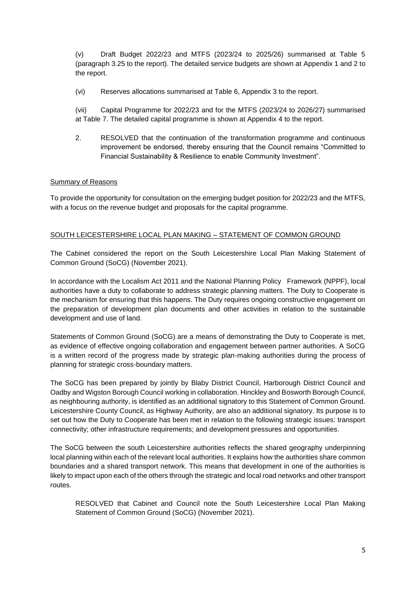(v) Draft Budget 2022/23 and MTFS (2023/24 to 2025/26) summarised at Table 5 (paragraph 3.25 to the report). The detailed service budgets are shown at Appendix 1 and 2 to the report.

(vi) Reserves allocations summarised at Table 6, Appendix 3 to the report.

(vii) Capital Programme for 2022/23 and for the MTFS (2023/24 to 2026/27) summarised at Table 7. The detailed capital programme is shown at Appendix 4 to the report.

2. RESOLVED that the continuation of the transformation programme and continuous improvement be endorsed, thereby ensuring that the Council remains "Committed to Financial Sustainability & Resilience to enable Community Investment".

## Summary of Reasons

To provide the opportunity for consultation on the emerging budget position for 2022/23 and the MTFS, with a focus on the revenue budget and proposals for the capital programme.

# SOUTH LEICESTERSHIRE LOCAL PLAN MAKING – STATEMENT OF COMMON GROUND

The Cabinet considered the report on the South Leicestershire Local Plan Making Statement of Common Ground (SoCG) (November 2021).

In accordance with the Localism Act 2011 and the National Planning Policy Framework (NPPF), local authorities have a duty to collaborate to address strategic planning matters. The Duty to Cooperate is the mechanism for ensuring that this happens. The Duty requires ongoing constructive engagement on the preparation of development plan documents and other activities in relation to the sustainable development and use of land.

Statements of Common Ground (SoCG) are a means of demonstrating the Duty to Cooperate is met, as evidence of effective ongoing collaboration and engagement between partner authorities. A SoCG is a written record of the progress made by strategic plan-making authorities during the process of planning for strategic cross-boundary matters.

The SoCG has been prepared by jointly by Blaby District Council, Harborough District Council and Oadby and Wigston Borough Council working in collaboration. Hinckley and Bosworth Borough Council, as neighbouring authority, is identified as an additional signatory to this Statement of Common Ground. Leicestershire County Council, as Highway Authority, are also an additional signatory. Its purpose is to set out how the Duty to Cooperate has been met in relation to the following strategic issues: transport connectivity; other infrastructure requirements; and development pressures and opportunities.

The SoCG between the south Leicestershire authorities reflects the shared geography underpinning local planning within each of the relevant local authorities. It explains how the authorities share common boundaries and a shared transport network. This means that development in one of the authorities is likely to impact upon each of the others through the strategic and local road networks and other transport routes.

RESOLVED that Cabinet and Council note the South Leicestershire Local Plan Making Statement of Common Ground (SoCG) (November 2021).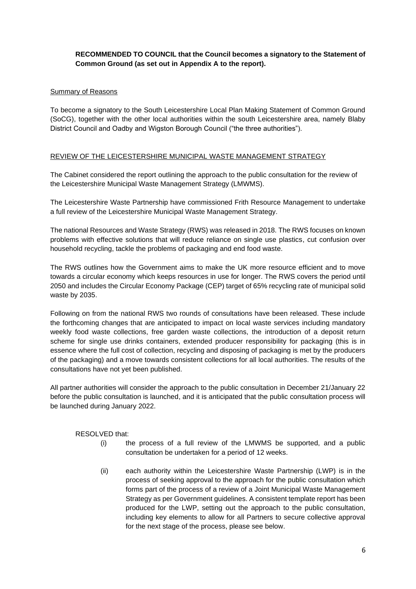# **RECOMMENDED TO COUNCIL that the Council becomes a signatory to the Statement of Common Ground (as set out in Appendix A to the report).**

# Summary of Reasons

To become a signatory to the South Leicestershire Local Plan Making Statement of Common Ground (SoCG), together with the other local authorities within the south Leicestershire area, namely Blaby District Council and Oadby and Wigston Borough Council ("the three authorities").

# REVIEW OF THE LEICESTERSHIRE MUNICIPAL WASTE MANAGEMENT STRATEGY

The Cabinet considered the report outlining the approach to the public consultation for the review of the Leicestershire Municipal Waste Management Strategy (LMWMS).

The Leicestershire Waste Partnership have commissioned Frith Resource Management to undertake a full review of the Leicestershire Municipal Waste Management Strategy.

The national Resources and Waste Strategy (RWS) was released in 2018. The RWS focuses on known problems with effective solutions that will reduce reliance on single use plastics, cut confusion over household recycling, tackle the problems of packaging and end food waste.

The RWS outlines how the Government aims to make the UK more resource efficient and to move towards a circular economy which keeps resources in use for longer. The RWS covers the period until 2050 and includes the Circular Economy Package (CEP) target of 65% recycling rate of municipal solid waste by 2035.

Following on from the national RWS two rounds of consultations have been released. These include the forthcoming changes that are anticipated to impact on local waste services including mandatory weekly food waste collections, free garden waste collections, the introduction of a deposit return scheme for single use drinks containers, extended producer responsibility for packaging (this is in essence where the full cost of collection, recycling and disposing of packaging is met by the producers of the packaging) and a move towards consistent collections for all local authorities. The results of the consultations have not yet been published.

All partner authorities will consider the approach to the public consultation in December 21/January 22 before the public consultation is launched, and it is anticipated that the public consultation process will be launched during January 2022.

RESOLVED that:

- (i) the process of a full review of the LMWMS be supported, and a public consultation be undertaken for a period of 12 weeks.
- (ii) each authority within the Leicestershire Waste Partnership (LWP) is in the process of seeking approval to the approach for the public consultation which forms part of the process of a review of a Joint Municipal Waste Management Strategy as per Government guidelines. A consistent template report has been produced for the LWP, setting out the approach to the public consultation, including key elements to allow for all Partners to secure collective approval for the next stage of the process, please see below.